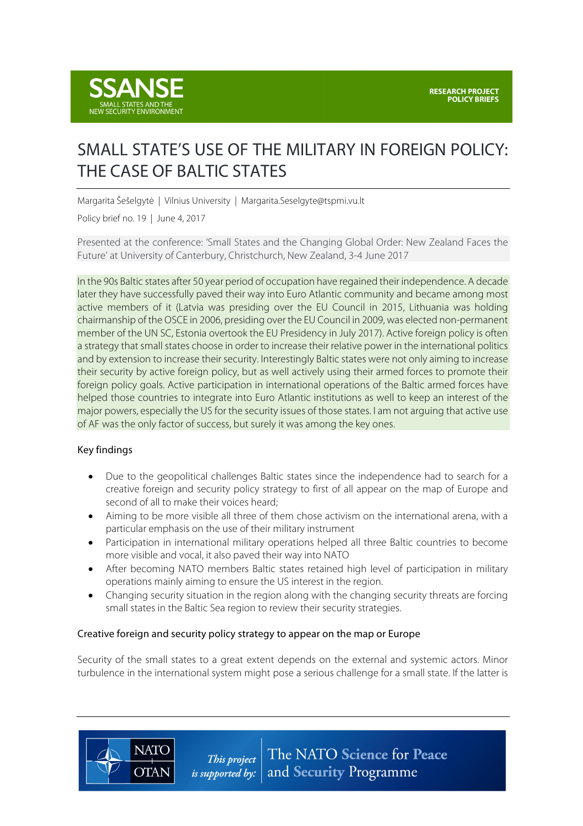

# SMALL STATE'S USE OF THE MILITARY IN FOREIGN POLICY: THE CASE OF BALTIC STATES

Margarita Šešelgytė | Vilnius University | Margarita.Seselgyte@tspmi.vu.lt

Policy brief no. 19 | June 4, 2017

Presented at the conference: 'Small States and the Changing Global Order: New Zealand Faces the Future' at University of Canterbury, Christchurch, New Zealand, 3-4 June 2017

In the 90s Baltic states after 50 year period of occupation have regained their independence. A decade later they have successfully paved their way into Euro Atlantic community and became among most active members of it (Latvia was presiding over the EU Council in 2015, Lithuania was holding chairmanship of the OSCE in 2006, presiding over the EU Council in 2009, was elected non-permanent member of the UN SC, Estonia overtook the EU Presidency in July 2017). Active foreign policy is often a strategy that small states choose in order to increase their relative power in the international politics and by extension to increase their security. Interestingly Baltic states were not only aiming to increase their security by active foreign policy, but as well actively using their armed forces to promote their foreign policy goals. Active participation in international operations of the Baltic armed forces have helped those countries to integrate into Euro Atlantic institutions as well to keep an interest of the major powers, especially the US for the security issues of those states. I am not arguing that active use of AF was the only factor of success, but surely it was among the key ones.

#### Key findings

**NATO** 

**OTAN** 

- Due to the geopolitical challenges Baltic states since the independence had to search for a creative foreign and security policy strategy to first of all appear on the map of Europe and second of all to make their voices heard;
- Aiming to be more visible all three of them chose activism on the international arena, with a particular emphasis on the use of their military instrument
- Participation in international military operations helped all three Baltic countries to become more visible and vocal, it also paved their way into NATO
- After becoming NATO members Baltic states retained high level of participation in military operations mainly aiming to ensure the US interest in the region.
- Changing security situation in the region along with the changing security threats are forcing small states in the Baltic Sea region to review their security strategies.

#### Creative foreign and security policy strategy to appear on the map or Europe

Security of the small states to a great extent depends on the external and systemic actors. Minor turbulence in the international system might pose a serious challenge for a small state. If the latter is

> The NATO Science for Peace This project and Security Programme *is supported by:*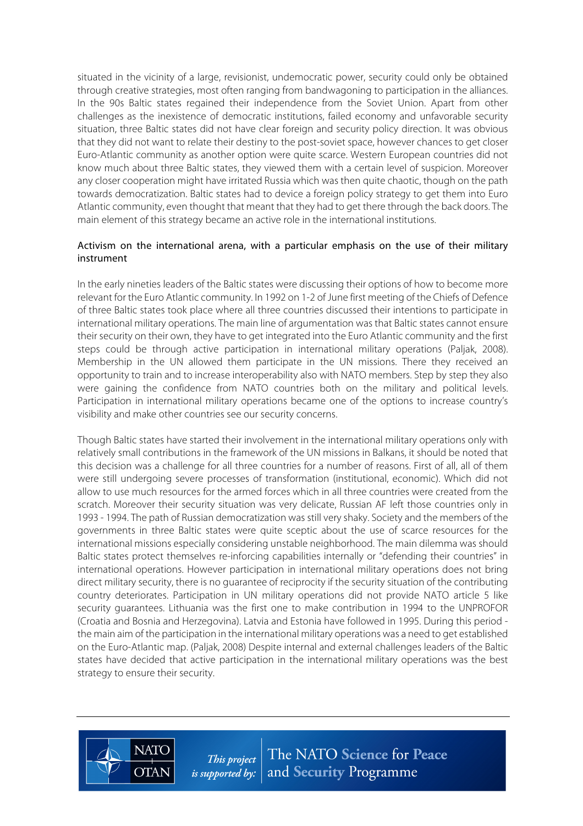situated in the vicinity of a large, revisionist, undemocratic power, security could only be obtained through creative strategies, most often ranging from bandwagoning to participation in the alliances. In the 90s Baltic states regained their independence from the Soviet Union. Apart from other challenges as the inexistence of democratic institutions, failed economy and unfavorable security situation, three Baltic states did not have clear foreign and security policy direction. It was obvious that they did not want to relate their destiny to the post-soviet space, however chances to get closer Euro-Atlantic community as another option were quite scarce. Western European countries did not know much about three Baltic states, they viewed them with a certain level of suspicion. Moreover any closer cooperation might have irritated Russia which was then quite chaotic, though on the path towards democratization. Baltic states had to device a foreign policy strategy to get them into Euro Atlantic community, even thought that meant that they had to get there through the back doors. The main element of this strategy became an active role in the international institutions.

#### Activism on the international arena, with a particular emphasis on the use of their military instrument

In the early nineties leaders of the Baltic states were discussing their options of how to become more relevant for the Euro Atlantic community. In 1992 on 1-2 of June first meeting of the Chiefs of Defence of three Baltic states took place where all three countries discussed their intentions to participate in international military operations. The main line of argumentation was that Baltic states cannot ensure their security on their own, they have to get integrated into the Euro Atlantic community and the first steps could be through active participation in international military operations (Paljak, 2008). Membership in the UN allowed them participate in the UN missions. There they received an opportunity to train and to increase interoperability also with NATO members. Step by step they also were gaining the confidence from NATO countries both on the military and political levels. Participation in international military operations became one of the options to increase country's visibility and make other countries see our security concerns.

Though Baltic states have started their involvement in the international military operations only with relatively small contributions in the framework of the UN missions in Balkans, it should be noted that this decision was a challenge for all three countries for a number of reasons. First of all, all of them were still undergoing severe processes of transformation (institutional, economic). Which did not allow to use much resources for the armed forces which in all three countries were created from the scratch. Moreover their security situation was very delicate, Russian AF left those countries only in 1993 - 1994. The path of Russian democratization was still very shaky. Society and the members of the governments in three Baltic states were quite sceptic about the use of scarce resources for the international missions especially considering unstable neighborhood. The main dilemma was should Baltic states protect themselves re-inforcing capabilities internally or "defending their countries" in international operations. However participation in international military operations does not bring direct military security, there is no guarantee of reciprocity if the security situation of the contributing country deteriorates. Participation in UN military operations did not provide NATO article 5 like security guarantees. Lithuania was the first one to make contribution in 1994 to the UNPROFOR (Croatia and Bosnia and Herzegovina). Latvia and Estonia have followed in 1995. During this period the main aim of the participation in the international military operations was a need to get established on the Euro-Atlantic map. (Paljak, 2008) Despite internal and external challenges leaders of the Baltic states have decided that active participation in the international military operations was the best strategy to ensure their security.



**NATC** 

**OTAN**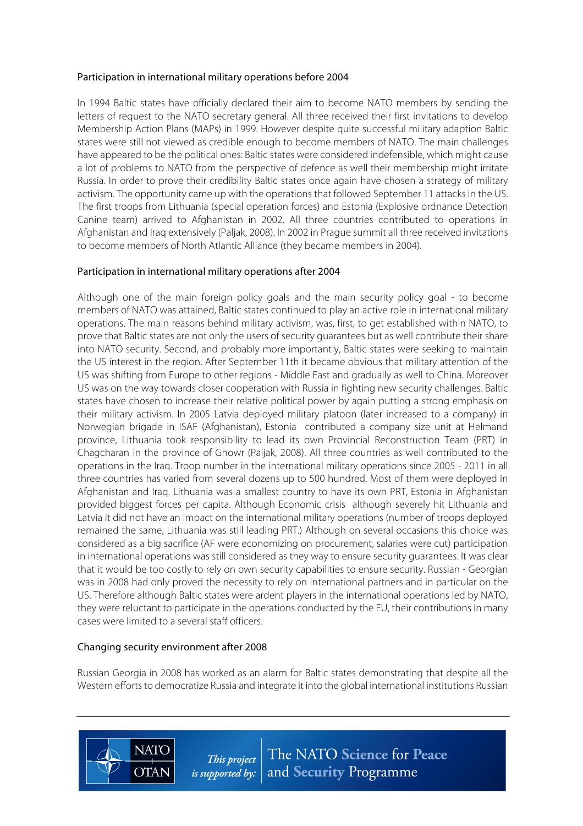#### Participation in international military operations before 2004

In 1994 Baltic states have officially declared their aim to become NATO members by sending the letters of request to the NATO secretary general. All three received their first invitations to develop Membership Action Plans (MAPs) in 1999. However despite quite successful military adaption Baltic states were still not viewed as credible enough to become members of NATO. The main challenges have appeared to be the political ones: Baltic states were considered indefensible, which might cause a lot of problems to NATO from the perspective of defence as well their membership might irritate Russia. In order to prove their credibility Baltic states once again have chosen a strategy of military activism. The opportunity came up with the operations that followed September 11 attacks in the US. The first troops from Lithuania (special operation forces) and Estonia (Explosive ordnance Detection Canine team) arrived to Afghanistan in 2002. All three countries contributed to operations in Afghanistan and Iraq extensively (Paljak, 2008). In 2002 in Prague summit all three received invitations to become members of North Atlantic Alliance (they became members in 2004).

## Participation in international military operations after 2004

Although one of the main foreign policy goals and the main security policy goal - to become members of NATO was attained, Baltic states continued to play an active role in international military operations. The main reasons behind military activism, was, first, to get established within NATO, to prove that Baltic states are not only the users of security guarantees but as well contribute their share into NATO security. Second, and probably more importantly, Baltic states were seeking to maintain the US interest in the region. After September 11th it became obvious that military attention of the US was shifting from Europe to other regions - Middle East and gradually as well to China. Moreover US was on the way towards closer cooperation with Russia in fighting new security challenges. Baltic states have chosen to increase their relative political power by again putting a strong emphasis on their military activism. In 2005 Latvia deployed military platoon (later increased to a company) in Norwegian brigade in ISAF (Afghanistan), Estonia contributed a company size unit at Helmand province, Lithuania took responsibility to lead its own Provincial Reconstruction Team (PRT) in Chagcharan in the province of Ghowr (Paljak, 2008). All three countries as well contributed to the operations in the Iraq. Troop number in the international military operations since 2005 - 2011 in all three countries has varied from several dozens up to 500 hundred. Most of them were deployed in Afghanistan and Iraq. Lithuania was a smallest country to have its own PRT, Estonia in Afghanistan provided biggest forces per capita. Although Economic crisis although severely hit Lithuania and Latvia it did not have an impact on the international military operations (number of troops deployed remained the same, Lithuania was still leading PRT.) Although on several occasions this choice was considered as a big sacrifice (AF were economizing on procurement, salaries were cut) participation in international operations was still considered as they way to ensure security guarantees. It was clear that it would be too costly to rely on own security capabilities to ensure security. Russian - Georgian was in 2008 had only proved the necessity to rely on international partners and in particular on the US. Therefore although Baltic states were ardent players in the international operations led by NATO, they were reluctant to participate in the operations conducted by the EU, their contributions in many cases were limited to a several staff officers.

## Changing security environment after 2008

**NATO** 

**OTAN** 

Russian Georgia in 2008 has worked as an alarm for Baltic states demonstrating that despite all the Western efforts to democratize Russia and integrate it into the global international institutions Russian

> The NATO Science for Peace This project *is supported by:*  $\vert$  and **Security** Programme